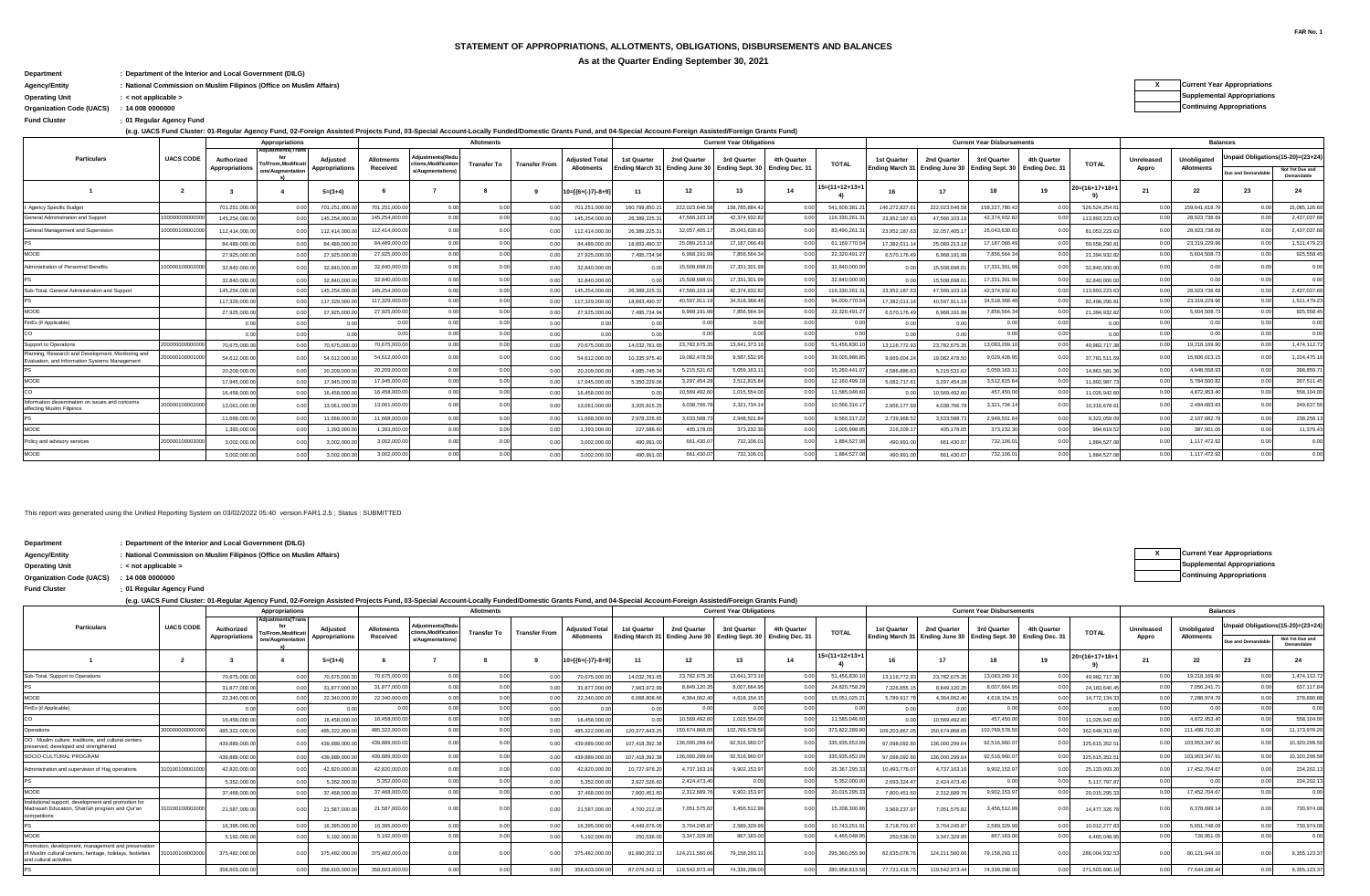## **STATEMENT OF APPROPRIATIONS, ALLOTMENTS, OBLIGATIONS, DISBURSEMENTS AND BALANCES**

**As at the Quarter Ending September 30, 2021**

## **Department : Department of the Interior and Local Government (DILG)**

**Organization Code (UACS) Continuing Appropriations : 14 008 0000000**

**: Fund Cluster 01 Regular Agency Fund**

**(e.g. UACS Fund Cluster: 01-Regular Agency Fund, 02-Foreign Assisted Projects Fund, 03-Special Account-Locally Funded/Domestic Grants Fund, and 04-Special Account-Foreign Assisted/Foreign Grants Fund)**

| Unpaid Obligations(15-20)=(23+24)<br>diustments(Redu<br><b>UACS CODE</b><br><b>Particulars</b><br>Unobligated<br>4th Quarter<br>3rd Quarter<br>Unreleased<br>Authorized<br>Allotments<br><b>Adjusted Total</b><br>2nd Quarter<br>3rd Quarter<br>2nd Quarter<br>4th Quarter<br>Adjusted<br>1st Quarter<br>1st Quarter<br>tions, Modification<br><b>TOTAL</b><br><b>TOTAL</b><br><b>Transfer To</b><br><b>To/From.Modificat</b><br><b>Transfer From</b><br>Ending March 31 Ending June 30 Ending Sept. 30 Ending Dec. 31<br>Ending March 31 Ending June 30 Ending Sept. 30 Ending Dec. 31<br>Appropriations<br>Received<br><b>Allotments</b><br><b>Allotments</b><br>Appropriations<br>Appro<br>Not Yet Due and<br>ons/Augmentation<br>s/Augmentations)<br>Due and Demandable<br>Demandable<br>$15 = (11 + 12 + 13 + 1)$<br>$20 = (16 + 17 + 18 + 1)$<br>24<br>12<br>14<br>22<br>23<br>13<br>19<br>21<br>$\overline{2}$<br>18<br>$10=[(6+(-)7)-8+9]$<br>17<br>$5=(3+4)$<br>-11<br>16<br>222,023,646.5<br>701,251,000.0<br>158,785,884.4<br>541,609,381<br>158,227,780.4<br>159,641,618.79<br>0.00<br>146,272,827.6<br>701,251,000.0<br>701,251,000.<br>0.00<br>160.799.850.<br>222,023,646.5<br>00<br>0.00<br>701,251,000.<br>526,524,254.6<br>145,254,000.0<br>47,566,103.1<br>42,374,932.8<br>116,330,261.<br>1000000000000<br>0 <sub>0</sub><br>42,374,932.8<br>28,923,738.6<br>General Administration and Support<br>0.00<br>145,254,000.0<br>145,254,000.<br>145,254,000.0<br>26,389,225.3<br>23,952,187.6<br>47.566.103.<br>113,893,223.6<br>32.057.405.1<br>25.043.630.<br>10000010000100<br>112.414.000.0<br>25.043.630.83<br>83,490,261.<br>28,923,738.69<br>0.00<br>23.952.187.6<br>32.057.405.1<br>General Management and Supervision<br>112.414.000.0<br>112.414.000.<br>0.0<br>26.389.225.3<br>81,053,223.6<br>112,414,000.0<br>84,489,000.0<br>25.089.213.18<br>17,187,066.49<br>61.169.770.<br>17,187,066.4<br>23,319,229.96<br>0.00<br>0.00<br>0.00<br>84.489.000.0<br>84.489.000.<br>18,893,490.3<br>17,382,011.<br>25,089,213.<br>000<br>0.00<br>84,489,000.0<br>59,658,290.8<br>MOOE<br>27,925,000.0<br>0.00<br>0.00<br>6,968,191.9<br>7,856,564.34<br>22,320,491.2<br>7,856,564.<br>5,604,508.73<br>000<br>27,925,000.<br>7,495,734.94<br>6,570,176.4<br>6,968,191.9<br>27,925,000.0<br>27,925,000.0<br>21,394,932.8<br>10000010000200<br>32.840.000.0<br>15,508,698.<br>17,331,301.9<br>32,840,000.0<br>17,331,301.<br>0.00<br>0.0<br>Administration of Personnel Benefits<br>32,840,000.0<br>15,508,698.0<br>32,840,000.0<br>32,840,000.00<br>32,840,000.0<br>0.00<br>32,840,000.0<br>32,840,000.0<br>32.840.000.<br>0.00<br>0.00<br>15,508,698.<br>17,331,301.99<br>0.00<br>17,331,301.9<br>0.00<br>0.00<br>32,840,000.0<br>32.840.000.00<br>0.00<br>15,508,698.<br>0 <sup>0</sup><br>32.840.000.0<br>145,254,000.0<br>0.00<br>0.00<br>47,566,103.1<br>42,374,932.82<br>116.330.261.<br>42,374,932.8<br>28,923,738.69<br>Sub-Total, General Administration and Support<br>145,254,000.<br>26.389.225.31<br>0.00<br>23,952,187.6<br>47,566,103.<br>0 <sup>0</sup><br>113,893,223.6<br>0.00<br>0.00<br>145.254.000.0<br>145,254,000.0<br>117,329,000.00<br>40,597.911.1<br>94.009.770.0<br>0.00<br>34,518,368,48<br>34.518.368.4<br>23.319.229.96<br>0.00<br>0.00<br>0.00<br>17,382,011.<br>n nn<br>0.00<br>117,329,000.0<br>117,329,000.<br>117,329,000.0<br>18,893,490.3<br>40.597.911.<br>92.498.290.8<br>MOOE<br>27,925,000.00<br>7,856,564.34<br>5,604,508.73<br>0.00<br>0.00<br>6,968,191.99<br>0.00<br>22,320,491.2<br>7,856,564.3<br>21,394,932.8<br>27,925,000.0<br>27,925,000.0<br>27,925,000.0<br>7,495,734.94<br>6,570,176.4<br>6.968.191.9<br>0.00<br>0.00<br>0.00<br>FinEx (if Applicable)<br>0.00<br>0.00<br>0.00<br>0.00<br>0.00<br>0.00<br>0.00<br>0.00<br>0.00<br>00<br>0 <sub>0</sub><br>co<br>0.00<br>0.00<br>0.00<br>0.00<br>0.00<br>0.00<br>0.00<br>0.00<br>0.00<br>0 <sup>0</sup><br>0.00<br>0.00<br>n or<br>70.675.000.00<br>23.782.675.35<br>13.641.373.10<br>19,218,169,90<br>2000000000000<br>0.00<br>0.00<br>0.00<br>51.456.830.1<br>13,083,269.1<br>Support to Operations<br>n nn<br>0.00<br>70.675.000.0<br>70,675,000.0<br>14.032.781.65<br>13,116,772.9<br>23,782,675.3<br>49.982.717.<br>70.675.000.0<br>Planning, Research and Development, Monitoring and<br>54,612,000.0<br>20000010000100<br>0.00<br>19,082,478.50<br>9,587,532.9<br>39,005,986.8<br>9,029,428.9<br>15,606,013.1<br>54.612.000.00<br>54,612,000.0<br>10.335.975.40<br>9.669.604.2<br>19,082,478.50<br>37.781.511.6<br>0.0<br>54.612.000.00<br>Evaluation, and Information Systems Management<br>20,209,000.0<br>0.00<br>5,215,531.6<br>5,059,163.1<br>15,260,441.<br>5,059,163.1<br>4,948,558.93<br>0.00<br>0.00<br>4.586.886.6<br>00<br>20,209,000.0<br>20,209,000.<br>20,209,000.0<br>4.985.746.34<br>5,215,531.6<br>14,861,581.<br>0 <sup>0<sup>c</sup></sup><br>MOOE<br>17.945.000.0<br>0.00<br>3,297,454.28<br>3,512,815.84<br>12.160.499.1<br>3,512,815.8<br>5,784,500.82<br>0.00<br>0.00<br>000<br>0.00<br>17,945,000.<br>5,082,717.6<br>17,945,000.0<br>17,945,000.0<br>5,350,229.06<br>3,297,454.2<br>11,892,987<br>16,458,000.00<br>10,569,492.6<br>1,015,554.00<br>11,585,046.6<br>4,872,953.40<br>0.00<br>0.00<br>457,450.00<br>0.00<br>0.00<br>0.00<br>16,458,000.0<br>16,458,000.<br>16,458,000.0<br>10.569.492.6<br>11,026,942.6<br>0.00<br>Information dissemination on issues and concerns<br>20000010000200<br>13.061.000.0<br>4.038.766.7<br>3,321,734.1<br>3,321,734.1<br>10.566.316.<br>2.956.177.6<br>2,494,683.83<br>13.061.000.0<br>0 <sub>0</sub><br>3.205.815.25<br>4.038.766.7<br>13.061.000.0<br>13.061.000.0<br>10,316,678.6<br>affecting Muslim Filipinos<br>3.633.588.<br>2,948,501.8<br>9,560,317.<br>2,948,501.<br>11,668,000.0<br>2,107,682.7<br>11,668,000.<br>0.00<br>0.00<br>2.978.226.6<br>2.739.968.<br>3.633.588.7<br>11,668,000.0<br>11,668,000.0<br>9.322.059.0<br>00<br>0.00<br>MOOE<br>1.393.000.00<br>0.00<br>405,178.05<br>373,232.30<br>1,005,998.9<br>373,232.3<br>387,001.05<br>0.00<br>0.00<br>0.00<br>0.00<br>0.00<br>227,588,60<br>216,209.1<br>405.178.05<br>994,619.5<br>1,393,000.0<br>1.393,000.0<br>1.393.000.0<br>2000001000030<br>3.002.000.0<br>0.00<br>661.430.<br>732,106.0<br>1.884.527.0<br>732,106.<br>1,117,472.92<br>0.0<br>0.00<br>0 <sup>0<sup>c</sup></sup><br>Policy and advisory services<br>1.884.527.0<br>3,002,000.00<br>3,002,000.0<br>3,002,000.00<br>490.991.00<br>490.991.0<br>661,430.0<br>MOOE<br>3.002.000.0<br>0.00<br>0.00<br>1.884.527.0<br>732.106.0<br>661,430.0<br>732,106.01<br>0.00<br>0.00<br>1.117.472.9<br>1.884.527.0<br>3,002,000.0<br>3,002,000.0<br>3,002,000.00<br>490.991.00<br>490,991.0<br>661,430.0 |                           |  | Appropriations    |  | Allotments |  |  | <b>Current Year Obligations</b> |  |  | <b>Current Year Disbursements</b> |  |  | <b>Balances</b> |               |
|-----------------------------------------------------------------------------------------------------------------------------------------------------------------------------------------------------------------------------------------------------------------------------------------------------------------------------------------------------------------------------------------------------------------------------------------------------------------------------------------------------------------------------------------------------------------------------------------------------------------------------------------------------------------------------------------------------------------------------------------------------------------------------------------------------------------------------------------------------------------------------------------------------------------------------------------------------------------------------------------------------------------------------------------------------------------------------------------------------------------------------------------------------------------------------------------------------------------------------------------------------------------------------------------------------------------------------------------------------------------------------------------------------------------------------------------------------------------------------------------------------------------------------------------------------------------------------------------------------------------------------------------------------------------------------------------------------------------------------------------------------------------------------------------------------------------------------------------------------------------------------------------------------------------------------------------------------------------------------------------------------------------------------------------------------------------------------------------------------------------------------------------------------------------------------------------------------------------------------------------------------------------------------------------------------------------------------------------------------------------------------------------------------------------------------------------------------------------------------------------------------------------------------------------------------------------------------------------------------------------------------------------------------------------------------------------------------------------------------------------------------------------------------------------------------------------------------------------------------------------------------------------------------------------------------------------------------------------------------------------------------------------------------------------------------------------------------------------------------------------------------------------------------------------------------------------------------------------------------------------------------------------------------------------------------------------------------------------------------------------------------------------------------------------------------------------------------------------------------------------------------------------------------------------------------------------------------------------------------------------------------------------------------------------------------------------------------------------------------------------------------------------------------------------------------------------------------------------------------------------------------------------------------------------------------------------------------------------------------------------------------------------------------------------------------------------------------------------------------------------------------------------------------------------------------------------------------------------------------------------------------------------------------------------------------------------------------------------------------------------------------------------------------------------------------------------------------------------------------------------------------------------------------------------------------------------------------------------------------------------------------------------------------------------------------------------------------------------------------------------------------------------------------------------------------------------------------------------------------------------------------------------------------------------------------------------------------------------------------------------------------------------------------------------------------------------------------------------------------------------------------------------------------------------------------------------------------------------------------------------------------------------------------------------------------------------------------------------------------------------------------------------------------------------------------------------------------------------------------------------------------------------------------------------------------------------------------------------------------------------------------------------------------------------------------------------------------------------------------------------------------------------------------------------------------------------------------------------------------------------------------------------------------------------------------------------------------------------------------------------------------------------------------------------------------------------------------------------------------------------------------------------------------------------------------------------------------------------------------------------------------------------------------------------------------------------------------------------------------------------------------------------------------------------------------------------------------------------------------------------------------------------------------------------------------------------------------------------------------------------------------------------------------------------------------------------------------------------------------------|---------------------------|--|-------------------|--|------------|--|--|---------------------------------|--|--|-----------------------------------|--|--|-----------------|---------------|
|                                                                                                                                                                                                                                                                                                                                                                                                                                                                                                                                                                                                                                                                                                                                                                                                                                                                                                                                                                                                                                                                                                                                                                                                                                                                                                                                                                                                                                                                                                                                                                                                                                                                                                                                                                                                                                                                                                                                                                                                                                                                                                                                                                                                                                                                                                                                                                                                                                                                                                                                                                                                                                                                                                                                                                                                                                                                                                                                                                                                                                                                                                                                                                                                                                                                                                                                                                                                                                                                                                                                                                                                                                                                                                                                                                                                                                                                                                                                                                                                                                                                                                                                                                                                                                                                                                                                                                                                                                                                                                                                                                                                                                                                                                                                                                                                                                                                                                                                                                                                                                                                                                                                                                                                                                                                                                                                                                                                                                                                                                                                                                                                                                                                                                                                                                                                                                                                                                                                                                                                                                                                                                                                                                                                                                                                                                                                                                                                                                                                                                                                                                                                                                                                                                                                   |                           |  | Adjustments(Trans |  |            |  |  |                                 |  |  |                                   |  |  |                 |               |
|                                                                                                                                                                                                                                                                                                                                                                                                                                                                                                                                                                                                                                                                                                                                                                                                                                                                                                                                                                                                                                                                                                                                                                                                                                                                                                                                                                                                                                                                                                                                                                                                                                                                                                                                                                                                                                                                                                                                                                                                                                                                                                                                                                                                                                                                                                                                                                                                                                                                                                                                                                                                                                                                                                                                                                                                                                                                                                                                                                                                                                                                                                                                                                                                                                                                                                                                                                                                                                                                                                                                                                                                                                                                                                                                                                                                                                                                                                                                                                                                                                                                                                                                                                                                                                                                                                                                                                                                                                                                                                                                                                                                                                                                                                                                                                                                                                                                                                                                                                                                                                                                                                                                                                                                                                                                                                                                                                                                                                                                                                                                                                                                                                                                                                                                                                                                                                                                                                                                                                                                                                                                                                                                                                                                                                                                                                                                                                                                                                                                                                                                                                                                                                                                                                                                   |                           |  |                   |  |            |  |  |                                 |  |  |                                   |  |  |                 |               |
|                                                                                                                                                                                                                                                                                                                                                                                                                                                                                                                                                                                                                                                                                                                                                                                                                                                                                                                                                                                                                                                                                                                                                                                                                                                                                                                                                                                                                                                                                                                                                                                                                                                                                                                                                                                                                                                                                                                                                                                                                                                                                                                                                                                                                                                                                                                                                                                                                                                                                                                                                                                                                                                                                                                                                                                                                                                                                                                                                                                                                                                                                                                                                                                                                                                                                                                                                                                                                                                                                                                                                                                                                                                                                                                                                                                                                                                                                                                                                                                                                                                                                                                                                                                                                                                                                                                                                                                                                                                                                                                                                                                                                                                                                                                                                                                                                                                                                                                                                                                                                                                                                                                                                                                                                                                                                                                                                                                                                                                                                                                                                                                                                                                                                                                                                                                                                                                                                                                                                                                                                                                                                                                                                                                                                                                                                                                                                                                                                                                                                                                                                                                                                                                                                                                                   |                           |  |                   |  |            |  |  |                                 |  |  |                                   |  |  |                 |               |
|                                                                                                                                                                                                                                                                                                                                                                                                                                                                                                                                                                                                                                                                                                                                                                                                                                                                                                                                                                                                                                                                                                                                                                                                                                                                                                                                                                                                                                                                                                                                                                                                                                                                                                                                                                                                                                                                                                                                                                                                                                                                                                                                                                                                                                                                                                                                                                                                                                                                                                                                                                                                                                                                                                                                                                                                                                                                                                                                                                                                                                                                                                                                                                                                                                                                                                                                                                                                                                                                                                                                                                                                                                                                                                                                                                                                                                                                                                                                                                                                                                                                                                                                                                                                                                                                                                                                                                                                                                                                                                                                                                                                                                                                                                                                                                                                                                                                                                                                                                                                                                                                                                                                                                                                                                                                                                                                                                                                                                                                                                                                                                                                                                                                                                                                                                                                                                                                                                                                                                                                                                                                                                                                                                                                                                                                                                                                                                                                                                                                                                                                                                                                                                                                                                                                   | I. Agency Specific Budget |  |                   |  |            |  |  |                                 |  |  |                                   |  |  |                 | 15,085,126.60 |
|                                                                                                                                                                                                                                                                                                                                                                                                                                                                                                                                                                                                                                                                                                                                                                                                                                                                                                                                                                                                                                                                                                                                                                                                                                                                                                                                                                                                                                                                                                                                                                                                                                                                                                                                                                                                                                                                                                                                                                                                                                                                                                                                                                                                                                                                                                                                                                                                                                                                                                                                                                                                                                                                                                                                                                                                                                                                                                                                                                                                                                                                                                                                                                                                                                                                                                                                                                                                                                                                                                                                                                                                                                                                                                                                                                                                                                                                                                                                                                                                                                                                                                                                                                                                                                                                                                                                                                                                                                                                                                                                                                                                                                                                                                                                                                                                                                                                                                                                                                                                                                                                                                                                                                                                                                                                                                                                                                                                                                                                                                                                                                                                                                                                                                                                                                                                                                                                                                                                                                                                                                                                                                                                                                                                                                                                                                                                                                                                                                                                                                                                                                                                                                                                                                                                   |                           |  |                   |  |            |  |  |                                 |  |  |                                   |  |  |                 | 2,437,037.68  |
|                                                                                                                                                                                                                                                                                                                                                                                                                                                                                                                                                                                                                                                                                                                                                                                                                                                                                                                                                                                                                                                                                                                                                                                                                                                                                                                                                                                                                                                                                                                                                                                                                                                                                                                                                                                                                                                                                                                                                                                                                                                                                                                                                                                                                                                                                                                                                                                                                                                                                                                                                                                                                                                                                                                                                                                                                                                                                                                                                                                                                                                                                                                                                                                                                                                                                                                                                                                                                                                                                                                                                                                                                                                                                                                                                                                                                                                                                                                                                                                                                                                                                                                                                                                                                                                                                                                                                                                                                                                                                                                                                                                                                                                                                                                                                                                                                                                                                                                                                                                                                                                                                                                                                                                                                                                                                                                                                                                                                                                                                                                                                                                                                                                                                                                                                                                                                                                                                                                                                                                                                                                                                                                                                                                                                                                                                                                                                                                                                                                                                                                                                                                                                                                                                                                                   |                           |  |                   |  |            |  |  |                                 |  |  |                                   |  |  |                 | 2,437,037.68  |
|                                                                                                                                                                                                                                                                                                                                                                                                                                                                                                                                                                                                                                                                                                                                                                                                                                                                                                                                                                                                                                                                                                                                                                                                                                                                                                                                                                                                                                                                                                                                                                                                                                                                                                                                                                                                                                                                                                                                                                                                                                                                                                                                                                                                                                                                                                                                                                                                                                                                                                                                                                                                                                                                                                                                                                                                                                                                                                                                                                                                                                                                                                                                                                                                                                                                                                                                                                                                                                                                                                                                                                                                                                                                                                                                                                                                                                                                                                                                                                                                                                                                                                                                                                                                                                                                                                                                                                                                                                                                                                                                                                                                                                                                                                                                                                                                                                                                                                                                                                                                                                                                                                                                                                                                                                                                                                                                                                                                                                                                                                                                                                                                                                                                                                                                                                                                                                                                                                                                                                                                                                                                                                                                                                                                                                                                                                                                                                                                                                                                                                                                                                                                                                                                                                                                   |                           |  |                   |  |            |  |  |                                 |  |  |                                   |  |  |                 | 1.511.479.23  |
|                                                                                                                                                                                                                                                                                                                                                                                                                                                                                                                                                                                                                                                                                                                                                                                                                                                                                                                                                                                                                                                                                                                                                                                                                                                                                                                                                                                                                                                                                                                                                                                                                                                                                                                                                                                                                                                                                                                                                                                                                                                                                                                                                                                                                                                                                                                                                                                                                                                                                                                                                                                                                                                                                                                                                                                                                                                                                                                                                                                                                                                                                                                                                                                                                                                                                                                                                                                                                                                                                                                                                                                                                                                                                                                                                                                                                                                                                                                                                                                                                                                                                                                                                                                                                                                                                                                                                                                                                                                                                                                                                                                                                                                                                                                                                                                                                                                                                                                                                                                                                                                                                                                                                                                                                                                                                                                                                                                                                                                                                                                                                                                                                                                                                                                                                                                                                                                                                                                                                                                                                                                                                                                                                                                                                                                                                                                                                                                                                                                                                                                                                                                                                                                                                                                                   |                           |  |                   |  |            |  |  |                                 |  |  |                                   |  |  |                 | 925,558.45    |
|                                                                                                                                                                                                                                                                                                                                                                                                                                                                                                                                                                                                                                                                                                                                                                                                                                                                                                                                                                                                                                                                                                                                                                                                                                                                                                                                                                                                                                                                                                                                                                                                                                                                                                                                                                                                                                                                                                                                                                                                                                                                                                                                                                                                                                                                                                                                                                                                                                                                                                                                                                                                                                                                                                                                                                                                                                                                                                                                                                                                                                                                                                                                                                                                                                                                                                                                                                                                                                                                                                                                                                                                                                                                                                                                                                                                                                                                                                                                                                                                                                                                                                                                                                                                                                                                                                                                                                                                                                                                                                                                                                                                                                                                                                                                                                                                                                                                                                                                                                                                                                                                                                                                                                                                                                                                                                                                                                                                                                                                                                                                                                                                                                                                                                                                                                                                                                                                                                                                                                                                                                                                                                                                                                                                                                                                                                                                                                                                                                                                                                                                                                                                                                                                                                                                   |                           |  |                   |  |            |  |  |                                 |  |  |                                   |  |  |                 | 0.00          |
|                                                                                                                                                                                                                                                                                                                                                                                                                                                                                                                                                                                                                                                                                                                                                                                                                                                                                                                                                                                                                                                                                                                                                                                                                                                                                                                                                                                                                                                                                                                                                                                                                                                                                                                                                                                                                                                                                                                                                                                                                                                                                                                                                                                                                                                                                                                                                                                                                                                                                                                                                                                                                                                                                                                                                                                                                                                                                                                                                                                                                                                                                                                                                                                                                                                                                                                                                                                                                                                                                                                                                                                                                                                                                                                                                                                                                                                                                                                                                                                                                                                                                                                                                                                                                                                                                                                                                                                                                                                                                                                                                                                                                                                                                                                                                                                                                                                                                                                                                                                                                                                                                                                                                                                                                                                                                                                                                                                                                                                                                                                                                                                                                                                                                                                                                                                                                                                                                                                                                                                                                                                                                                                                                                                                                                                                                                                                                                                                                                                                                                                                                                                                                                                                                                                                   |                           |  |                   |  |            |  |  |                                 |  |  |                                   |  |  |                 | 0.00          |
|                                                                                                                                                                                                                                                                                                                                                                                                                                                                                                                                                                                                                                                                                                                                                                                                                                                                                                                                                                                                                                                                                                                                                                                                                                                                                                                                                                                                                                                                                                                                                                                                                                                                                                                                                                                                                                                                                                                                                                                                                                                                                                                                                                                                                                                                                                                                                                                                                                                                                                                                                                                                                                                                                                                                                                                                                                                                                                                                                                                                                                                                                                                                                                                                                                                                                                                                                                                                                                                                                                                                                                                                                                                                                                                                                                                                                                                                                                                                                                                                                                                                                                                                                                                                                                                                                                                                                                                                                                                                                                                                                                                                                                                                                                                                                                                                                                                                                                                                                                                                                                                                                                                                                                                                                                                                                                                                                                                                                                                                                                                                                                                                                                                                                                                                                                                                                                                                                                                                                                                                                                                                                                                                                                                                                                                                                                                                                                                                                                                                                                                                                                                                                                                                                                                                   |                           |  |                   |  |            |  |  |                                 |  |  |                                   |  |  |                 | 2.437.037.68  |
|                                                                                                                                                                                                                                                                                                                                                                                                                                                                                                                                                                                                                                                                                                                                                                                                                                                                                                                                                                                                                                                                                                                                                                                                                                                                                                                                                                                                                                                                                                                                                                                                                                                                                                                                                                                                                                                                                                                                                                                                                                                                                                                                                                                                                                                                                                                                                                                                                                                                                                                                                                                                                                                                                                                                                                                                                                                                                                                                                                                                                                                                                                                                                                                                                                                                                                                                                                                                                                                                                                                                                                                                                                                                                                                                                                                                                                                                                                                                                                                                                                                                                                                                                                                                                                                                                                                                                                                                                                                                                                                                                                                                                                                                                                                                                                                                                                                                                                                                                                                                                                                                                                                                                                                                                                                                                                                                                                                                                                                                                                                                                                                                                                                                                                                                                                                                                                                                                                                                                                                                                                                                                                                                                                                                                                                                                                                                                                                                                                                                                                                                                                                                                                                                                                                                   |                           |  |                   |  |            |  |  |                                 |  |  |                                   |  |  |                 | 1.511.479.23  |
|                                                                                                                                                                                                                                                                                                                                                                                                                                                                                                                                                                                                                                                                                                                                                                                                                                                                                                                                                                                                                                                                                                                                                                                                                                                                                                                                                                                                                                                                                                                                                                                                                                                                                                                                                                                                                                                                                                                                                                                                                                                                                                                                                                                                                                                                                                                                                                                                                                                                                                                                                                                                                                                                                                                                                                                                                                                                                                                                                                                                                                                                                                                                                                                                                                                                                                                                                                                                                                                                                                                                                                                                                                                                                                                                                                                                                                                                                                                                                                                                                                                                                                                                                                                                                                                                                                                                                                                                                                                                                                                                                                                                                                                                                                                                                                                                                                                                                                                                                                                                                                                                                                                                                                                                                                                                                                                                                                                                                                                                                                                                                                                                                                                                                                                                                                                                                                                                                                                                                                                                                                                                                                                                                                                                                                                                                                                                                                                                                                                                                                                                                                                                                                                                                                                                   |                           |  |                   |  |            |  |  |                                 |  |  |                                   |  |  |                 | 925,558.45    |
|                                                                                                                                                                                                                                                                                                                                                                                                                                                                                                                                                                                                                                                                                                                                                                                                                                                                                                                                                                                                                                                                                                                                                                                                                                                                                                                                                                                                                                                                                                                                                                                                                                                                                                                                                                                                                                                                                                                                                                                                                                                                                                                                                                                                                                                                                                                                                                                                                                                                                                                                                                                                                                                                                                                                                                                                                                                                                                                                                                                                                                                                                                                                                                                                                                                                                                                                                                                                                                                                                                                                                                                                                                                                                                                                                                                                                                                                                                                                                                                                                                                                                                                                                                                                                                                                                                                                                                                                                                                                                                                                                                                                                                                                                                                                                                                                                                                                                                                                                                                                                                                                                                                                                                                                                                                                                                                                                                                                                                                                                                                                                                                                                                                                                                                                                                                                                                                                                                                                                                                                                                                                                                                                                                                                                                                                                                                                                                                                                                                                                                                                                                                                                                                                                                                                   |                           |  |                   |  |            |  |  |                                 |  |  |                                   |  |  |                 | 0.00          |
|                                                                                                                                                                                                                                                                                                                                                                                                                                                                                                                                                                                                                                                                                                                                                                                                                                                                                                                                                                                                                                                                                                                                                                                                                                                                                                                                                                                                                                                                                                                                                                                                                                                                                                                                                                                                                                                                                                                                                                                                                                                                                                                                                                                                                                                                                                                                                                                                                                                                                                                                                                                                                                                                                                                                                                                                                                                                                                                                                                                                                                                                                                                                                                                                                                                                                                                                                                                                                                                                                                                                                                                                                                                                                                                                                                                                                                                                                                                                                                                                                                                                                                                                                                                                                                                                                                                                                                                                                                                                                                                                                                                                                                                                                                                                                                                                                                                                                                                                                                                                                                                                                                                                                                                                                                                                                                                                                                                                                                                                                                                                                                                                                                                                                                                                                                                                                                                                                                                                                                                                                                                                                                                                                                                                                                                                                                                                                                                                                                                                                                                                                                                                                                                                                                                                   |                           |  |                   |  |            |  |  |                                 |  |  |                                   |  |  |                 | 0.00          |
|                                                                                                                                                                                                                                                                                                                                                                                                                                                                                                                                                                                                                                                                                                                                                                                                                                                                                                                                                                                                                                                                                                                                                                                                                                                                                                                                                                                                                                                                                                                                                                                                                                                                                                                                                                                                                                                                                                                                                                                                                                                                                                                                                                                                                                                                                                                                                                                                                                                                                                                                                                                                                                                                                                                                                                                                                                                                                                                                                                                                                                                                                                                                                                                                                                                                                                                                                                                                                                                                                                                                                                                                                                                                                                                                                                                                                                                                                                                                                                                                                                                                                                                                                                                                                                                                                                                                                                                                                                                                                                                                                                                                                                                                                                                                                                                                                                                                                                                                                                                                                                                                                                                                                                                                                                                                                                                                                                                                                                                                                                                                                                                                                                                                                                                                                                                                                                                                                                                                                                                                                                                                                                                                                                                                                                                                                                                                                                                                                                                                                                                                                                                                                                                                                                                                   |                           |  |                   |  |            |  |  |                                 |  |  |                                   |  |  |                 | 1.474.112.72  |
|                                                                                                                                                                                                                                                                                                                                                                                                                                                                                                                                                                                                                                                                                                                                                                                                                                                                                                                                                                                                                                                                                                                                                                                                                                                                                                                                                                                                                                                                                                                                                                                                                                                                                                                                                                                                                                                                                                                                                                                                                                                                                                                                                                                                                                                                                                                                                                                                                                                                                                                                                                                                                                                                                                                                                                                                                                                                                                                                                                                                                                                                                                                                                                                                                                                                                                                                                                                                                                                                                                                                                                                                                                                                                                                                                                                                                                                                                                                                                                                                                                                                                                                                                                                                                                                                                                                                                                                                                                                                                                                                                                                                                                                                                                                                                                                                                                                                                                                                                                                                                                                                                                                                                                                                                                                                                                                                                                                                                                                                                                                                                                                                                                                                                                                                                                                                                                                                                                                                                                                                                                                                                                                                                                                                                                                                                                                                                                                                                                                                                                                                                                                                                                                                                                                                   |                           |  |                   |  |            |  |  |                                 |  |  |                                   |  |  |                 | 1,224,475.16  |
|                                                                                                                                                                                                                                                                                                                                                                                                                                                                                                                                                                                                                                                                                                                                                                                                                                                                                                                                                                                                                                                                                                                                                                                                                                                                                                                                                                                                                                                                                                                                                                                                                                                                                                                                                                                                                                                                                                                                                                                                                                                                                                                                                                                                                                                                                                                                                                                                                                                                                                                                                                                                                                                                                                                                                                                                                                                                                                                                                                                                                                                                                                                                                                                                                                                                                                                                                                                                                                                                                                                                                                                                                                                                                                                                                                                                                                                                                                                                                                                                                                                                                                                                                                                                                                                                                                                                                                                                                                                                                                                                                                                                                                                                                                                                                                                                                                                                                                                                                                                                                                                                                                                                                                                                                                                                                                                                                                                                                                                                                                                                                                                                                                                                                                                                                                                                                                                                                                                                                                                                                                                                                                                                                                                                                                                                                                                                                                                                                                                                                                                                                                                                                                                                                                                                   |                           |  |                   |  |            |  |  |                                 |  |  |                                   |  |  |                 | 398,859.71    |
|                                                                                                                                                                                                                                                                                                                                                                                                                                                                                                                                                                                                                                                                                                                                                                                                                                                                                                                                                                                                                                                                                                                                                                                                                                                                                                                                                                                                                                                                                                                                                                                                                                                                                                                                                                                                                                                                                                                                                                                                                                                                                                                                                                                                                                                                                                                                                                                                                                                                                                                                                                                                                                                                                                                                                                                                                                                                                                                                                                                                                                                                                                                                                                                                                                                                                                                                                                                                                                                                                                                                                                                                                                                                                                                                                                                                                                                                                                                                                                                                                                                                                                                                                                                                                                                                                                                                                                                                                                                                                                                                                                                                                                                                                                                                                                                                                                                                                                                                                                                                                                                                                                                                                                                                                                                                                                                                                                                                                                                                                                                                                                                                                                                                                                                                                                                                                                                                                                                                                                                                                                                                                                                                                                                                                                                                                                                                                                                                                                                                                                                                                                                                                                                                                                                                   |                           |  |                   |  |            |  |  |                                 |  |  |                                   |  |  |                 | 267.511.45    |
|                                                                                                                                                                                                                                                                                                                                                                                                                                                                                                                                                                                                                                                                                                                                                                                                                                                                                                                                                                                                                                                                                                                                                                                                                                                                                                                                                                                                                                                                                                                                                                                                                                                                                                                                                                                                                                                                                                                                                                                                                                                                                                                                                                                                                                                                                                                                                                                                                                                                                                                                                                                                                                                                                                                                                                                                                                                                                                                                                                                                                                                                                                                                                                                                                                                                                                                                                                                                                                                                                                                                                                                                                                                                                                                                                                                                                                                                                                                                                                                                                                                                                                                                                                                                                                                                                                                                                                                                                                                                                                                                                                                                                                                                                                                                                                                                                                                                                                                                                                                                                                                                                                                                                                                                                                                                                                                                                                                                                                                                                                                                                                                                                                                                                                                                                                                                                                                                                                                                                                                                                                                                                                                                                                                                                                                                                                                                                                                                                                                                                                                                                                                                                                                                                                                                   |                           |  |                   |  |            |  |  |                                 |  |  |                                   |  |  |                 | 558,104.00    |
|                                                                                                                                                                                                                                                                                                                                                                                                                                                                                                                                                                                                                                                                                                                                                                                                                                                                                                                                                                                                                                                                                                                                                                                                                                                                                                                                                                                                                                                                                                                                                                                                                                                                                                                                                                                                                                                                                                                                                                                                                                                                                                                                                                                                                                                                                                                                                                                                                                                                                                                                                                                                                                                                                                                                                                                                                                                                                                                                                                                                                                                                                                                                                                                                                                                                                                                                                                                                                                                                                                                                                                                                                                                                                                                                                                                                                                                                                                                                                                                                                                                                                                                                                                                                                                                                                                                                                                                                                                                                                                                                                                                                                                                                                                                                                                                                                                                                                                                                                                                                                                                                                                                                                                                                                                                                                                                                                                                                                                                                                                                                                                                                                                                                                                                                                                                                                                                                                                                                                                                                                                                                                                                                                                                                                                                                                                                                                                                                                                                                                                                                                                                                                                                                                                                                   |                           |  |                   |  |            |  |  |                                 |  |  |                                   |  |  |                 | 249,637.56    |
|                                                                                                                                                                                                                                                                                                                                                                                                                                                                                                                                                                                                                                                                                                                                                                                                                                                                                                                                                                                                                                                                                                                                                                                                                                                                                                                                                                                                                                                                                                                                                                                                                                                                                                                                                                                                                                                                                                                                                                                                                                                                                                                                                                                                                                                                                                                                                                                                                                                                                                                                                                                                                                                                                                                                                                                                                                                                                                                                                                                                                                                                                                                                                                                                                                                                                                                                                                                                                                                                                                                                                                                                                                                                                                                                                                                                                                                                                                                                                                                                                                                                                                                                                                                                                                                                                                                                                                                                                                                                                                                                                                                                                                                                                                                                                                                                                                                                                                                                                                                                                                                                                                                                                                                                                                                                                                                                                                                                                                                                                                                                                                                                                                                                                                                                                                                                                                                                                                                                                                                                                                                                                                                                                                                                                                                                                                                                                                                                                                                                                                                                                                                                                                                                                                                                   |                           |  |                   |  |            |  |  |                                 |  |  |                                   |  |  |                 | 238,258.13    |
|                                                                                                                                                                                                                                                                                                                                                                                                                                                                                                                                                                                                                                                                                                                                                                                                                                                                                                                                                                                                                                                                                                                                                                                                                                                                                                                                                                                                                                                                                                                                                                                                                                                                                                                                                                                                                                                                                                                                                                                                                                                                                                                                                                                                                                                                                                                                                                                                                                                                                                                                                                                                                                                                                                                                                                                                                                                                                                                                                                                                                                                                                                                                                                                                                                                                                                                                                                                                                                                                                                                                                                                                                                                                                                                                                                                                                                                                                                                                                                                                                                                                                                                                                                                                                                                                                                                                                                                                                                                                                                                                                                                                                                                                                                                                                                                                                                                                                                                                                                                                                                                                                                                                                                                                                                                                                                                                                                                                                                                                                                                                                                                                                                                                                                                                                                                                                                                                                                                                                                                                                                                                                                                                                                                                                                                                                                                                                                                                                                                                                                                                                                                                                                                                                                                                   |                           |  |                   |  |            |  |  |                                 |  |  |                                   |  |  |                 | 11,379.43     |
|                                                                                                                                                                                                                                                                                                                                                                                                                                                                                                                                                                                                                                                                                                                                                                                                                                                                                                                                                                                                                                                                                                                                                                                                                                                                                                                                                                                                                                                                                                                                                                                                                                                                                                                                                                                                                                                                                                                                                                                                                                                                                                                                                                                                                                                                                                                                                                                                                                                                                                                                                                                                                                                                                                                                                                                                                                                                                                                                                                                                                                                                                                                                                                                                                                                                                                                                                                                                                                                                                                                                                                                                                                                                                                                                                                                                                                                                                                                                                                                                                                                                                                                                                                                                                                                                                                                                                                                                                                                                                                                                                                                                                                                                                                                                                                                                                                                                                                                                                                                                                                                                                                                                                                                                                                                                                                                                                                                                                                                                                                                                                                                                                                                                                                                                                                                                                                                                                                                                                                                                                                                                                                                                                                                                                                                                                                                                                                                                                                                                                                                                                                                                                                                                                                                                   |                           |  |                   |  |            |  |  |                                 |  |  |                                   |  |  |                 | 0.00          |
|                                                                                                                                                                                                                                                                                                                                                                                                                                                                                                                                                                                                                                                                                                                                                                                                                                                                                                                                                                                                                                                                                                                                                                                                                                                                                                                                                                                                                                                                                                                                                                                                                                                                                                                                                                                                                                                                                                                                                                                                                                                                                                                                                                                                                                                                                                                                                                                                                                                                                                                                                                                                                                                                                                                                                                                                                                                                                                                                                                                                                                                                                                                                                                                                                                                                                                                                                                                                                                                                                                                                                                                                                                                                                                                                                                                                                                                                                                                                                                                                                                                                                                                                                                                                                                                                                                                                                                                                                                                                                                                                                                                                                                                                                                                                                                                                                                                                                                                                                                                                                                                                                                                                                                                                                                                                                                                                                                                                                                                                                                                                                                                                                                                                                                                                                                                                                                                                                                                                                                                                                                                                                                                                                                                                                                                                                                                                                                                                                                                                                                                                                                                                                                                                                                                                   |                           |  |                   |  |            |  |  |                                 |  |  |                                   |  |  |                 | 0.00          |

This report was generated using the Unified Reporting System on 03/02/2022 05:40 version.FAR1.2.5 ; Status : SUBMITTED

**Department : Department of the Interior and Local Government (DILG)**

**: Fund Cluster 01 Regular Agency Fund**

**(e.g. UACS Fund Cluster: 01-Regular Agency Fund, 02-Foreign Assisted Projects Fund, 03-Special Account-Locally Funded/Domestic Grants Fund, and 04-Special Account-Foreign Assisted/Foreign Grants Fund)**

|                                                                                                                                               |                  |                |                                         | e.g. UACS Fund Cluster: 01-Regular Agency Fund, 02-Foreign Assisted Frojects Fund, 03-Special Account-Locally Funded/Domestic Grants Fund, and 04-Special Account-Foreign Assisted/Foreign Grants Fund) |               |                                                |                    |                      |                       |                |                                                               |                                 |             |                 |              |                |                                                               |             |                  |                |               |                                   |                               |
|-----------------------------------------------------------------------------------------------------------------------------------------------|------------------|----------------|-----------------------------------------|---------------------------------------------------------------------------------------------------------------------------------------------------------------------------------------------------------|---------------|------------------------------------------------|--------------------|----------------------|-----------------------|----------------|---------------------------------------------------------------|---------------------------------|-------------|-----------------|--------------|----------------|---------------------------------------------------------------|-------------|------------------|----------------|---------------|-----------------------------------|-------------------------------|
|                                                                                                                                               |                  |                | Appropriations                          |                                                                                                                                                                                                         |               |                                                | <b>Allotments</b>  |                      |                       |                |                                                               | <b>Current Year Obligations</b> |             |                 |              |                | <b>Current Year Disbursements</b>                             |             |                  |                |               | <b>Balances</b>                   |                               |
| Particulars                                                                                                                                   | <b>UACS CODE</b> | Authorized     | diustments(Trans<br>To/From, Modificati | Adiusted                                                                                                                                                                                                | Allotments    | <b>Idjustments</b> (Redu<br>ctions.Modificatio | <b>Transfer To</b> | <b>Transfer From</b> | <b>Adjusted Total</b> | 1st Quarter    | 2nd Quarter                                                   | 3rd Quarter                     | 4th Quarter | <b>TOTAL</b>    | 1st Quarter  | 2nd Quarter    | 3rd Quarter                                                   | 4th Quarter | <b>TOTAL</b>     | Unreleased     | Unobligated   | Unpaid Obligations(15-20)=(23+24) |                               |
|                                                                                                                                               |                  | Appropriations | ons/Augmentation                        | Appropriations                                                                                                                                                                                          | Received      | s/Augmentations                                |                    |                      | <b>Allotments</b>     |                | Ending March 31 Ending June 30 Ending Sept. 30 Ending Dec. 31 |                                 |             |                 |              |                | Ending March 31 Ending June 30 Ending Sept. 30 Ending Dec. 31 |             |                  | Appro          | Allotments    | Due and Demandab                  | Not Yet Due and<br>Demandable |
|                                                                                                                                               |                  |                |                                         | $5=(3+4)$                                                                                                                                                                                               |               |                                                |                    |                      | $10=[(6+(-)7)-8+9]$   |                | 12                                                            | 13                              | 14          | $15=(11+12+13+$ |              |                |                                                               |             | $20= (16+17+18+$ |                | 22            | 23                                |                               |
| Sub-Total, Support to Operations                                                                                                              |                  | 70,675,000.0   |                                         | 70,675,000.                                                                                                                                                                                             | 70.675.000.0  |                                                | 0.00               |                      | 70.675.000.0          | 14.032.781.65  | 23,782,675.3                                                  | 13,641,373.10                   |             | 51.456.830.     | 13.116.772.9 | 23,782,675.    | 13,083,269.1                                                  |             | 49.982.717.3     |                | 19,218,169,90 |                                   | 1.474.112.72                  |
|                                                                                                                                               |                  | 31,877,000.0   |                                         | 31,877,000.                                                                                                                                                                                             | 31,877,000.0  |                                                |                    |                      | 31,877,000.0          | 7.963.972.99   | 8.849.120.35                                                  | 8.007.664.95                    |             | 24.820.758.2    | 7.326.855.   | 8.849.120.35   | 8.007.664.95                                                  |             | 24.183.640.45    |                | 7.056.241.7   |                                   | 637,117.84                    |
| MOOE                                                                                                                                          |                  | 22.340.000.0   |                                         | 22.340.000.                                                                                                                                                                                             | 22,340,000.0  |                                                |                    |                      | 22.340.000.0          | 6.068.808.66   | 4.364.062.4                                                   | 4,618,154.15                    |             | 15,051,025.2    | 5.789.917.   | 4.364.062.40   | 4,618,154.1                                                   |             | 14,772,134.3     |                | 7.288.974.7   |                                   | 278,890.88                    |
| FinEx (if Applicable)                                                                                                                         |                  |                |                                         |                                                                                                                                                                                                         |               |                                                |                    |                      |                       | 0.00           |                                                               |                                 | 0.00        |                 |              |                |                                                               |             |                  |                |               |                                   | 0.00                          |
| CO                                                                                                                                            |                  | 16,458,000.0   |                                         | 16,458,000.                                                                                                                                                                                             | 16.458.000.0  |                                                | 0.00               |                      | 16,458,000.0          |                | 10.569.492.6                                                  | 1.015.554.00                    | n nn        | 11.585.046.6    |              | 10.569.492.6   | 457,450.00                                                    |             | 11.026.942.6     | 0 <sub>0</sub> | 4.872.953.4   | 0.00                              | 558,104.00                    |
| Operations                                                                                                                                    | 3000000000000    | 485.322.000.0  |                                         | 485.322.000.                                                                                                                                                                                            | 485.322.000.0 |                                                |                    |                      | 485.322.000.0         | 120.377.843.25 | 150,674,868.                                                  | 102.769.578.50                  |             | 373,822,289.    | 109.203.867. | 150.674.868.   | 102.769.578.50                                                |             | 362,648,313.6    |                | 111,499,710.2 |                                   | 11,173,976.20                 |
| OO : Muslim culture, traditions, and cultural centers<br>preserved, developed and strengthened                                                |                  | 439.889.000.0  |                                         | 439.889.000.0                                                                                                                                                                                           | 439.889.000.0 |                                                | 0.00               |                      | 439.889.000.0         | 107.418.392.38 | 136,000,299.6                                                 | 92.516.960.0                    |             | 335.935.652.0   | 97.098.092.8 | 136.000.299.6  | 92.516.960.0                                                  |             | 325.615.352.5    |                | 103,953,347.9 |                                   | 10.320.299.58                 |
| SOCIO-CULTURAL PROGRAM                                                                                                                        |                  | 439.889.000.0  |                                         | 439.889.000.0                                                                                                                                                                                           | 439,889,000.0 | 0.01                                           | 0.00               |                      | 439.889.000.0         | 107.418.392.3  | 136,000.299.6                                                 | 92.516.960.07                   |             | 335.935.652.    | 97,098,092.8 | 136,000,299.6  | 92.516.960.0                                                  |             | 325.615.352.5    |                | 103.953.347.9 |                                   | 10.320.299.58                 |
| Administration and supervision of Hajj operations                                                                                             | 31010010000100   | 42.820.000.0   |                                         | 42.820.000.                                                                                                                                                                                             | 42,820,000.0  | 0.01                                           | 0.00               |                      | 42.820.000.0          | 10,727,978.20  | 4.737.163.                                                    | 9.902.153.97                    |             | 25,367,295.3    | 10.493.776.0 | 4.737.163.16   | 9,902,153.9                                                   |             | 25.133.093.20    |                | 17,452,704.6  |                                   | 234.202.13                    |
|                                                                                                                                               |                  | 5,352,000.0    |                                         | 5.352.000.                                                                                                                                                                                              | 5.352.000.0   | 0.01                                           | 0.00               |                      | 5.352.000.0           | 2.927.526.60   | 2.424,473.4                                                   | 0.00                            | 0.00        | 5,352,000.0     | 2.693.324.4  | 2.424.473.40   |                                                               | 0.00        | 5,117,797.8      | 0 <sub>0</sub> | 0.01          | 0.00                              | 234,202.13                    |
| MOOE                                                                                                                                          |                  | 37,468,000.0   |                                         | 37,468,000.                                                                                                                                                                                             | 37,468,000.0  |                                                | 0.00               |                      | 37,468,000.0          | 7.800.451.60   | 2.312.689.7                                                   | 9.902.153.97                    |             | 20,015,295.3    | 7,800,451.   | 2,312,689.7    | 9,902,153.97                                                  |             | 20,015,295.3     | 0.0            | 17,452,704.67 | 0.00                              | 0.00                          |
| Institutional support, development and promotion for<br>Madrasah Education. Shari'ah program and Qur'an<br>competitions                       | 310100100002000  | 21.587.000.0   |                                         | 21.587.000.                                                                                                                                                                                             | 21,587,000.0  | 0(                                             | 00                 |                      | 21,587,000.0          | 4,700,212.05   | 7.051.575.82                                                  | 3.456,512.99                    |             | 15.208.300.8    | 3.969.237.9  | 7.051.575.8    | 3.456.512.9                                                   |             | 14,477,326.7     |                | 6.378.699.1   | n nn                              | 730.974.08                    |
|                                                                                                                                               |                  | 16,395,000.0   |                                         | 16,395,000                                                                                                                                                                                              | 16.395.000.0  |                                                | 0.00               |                      | 16,395,000.0          | 4.449.676.05   | 3.704.245.8                                                   | 2,589,329.99                    | 0.00        | 10.743.251.9    | 3.718.701.9  | 3,704,245.8    | 2.589.329.9                                                   |             | 10,012,277.8     | 0 <sub>0</sub> | 5,651,748.0   | 0.00                              | 730,974.08                    |
| MOOE                                                                                                                                          |                  | 5,192,000.0    |                                         | 5,192,000.0                                                                                                                                                                                             | 5.192.000.0   | 0.01                                           | 0.00               |                      | 5.192.000.0           | 250,536.00     | 3,347,329.95                                                  | 867,183.00                      | 0.00        | 4,465,048.9     | 250,536.0    | 3.347.329.95   | 867,183.00                                                    |             | 4.465.048.95     | 0 <sub>0</sub> | 726,951.05    | 0.00                              | 0.00                          |
| Promotion, development, management and preservation<br>of Muslim cultural centers, heritage, holidays, festivities<br>and cultural activities | 10100100003000   | 375.482.000.0  |                                         | 375,482,000.                                                                                                                                                                                            | 375.482.000.0 |                                                |                    |                      | 375,482,000.0         | 91.990.202.    | 124,211,560.6                                                 | 79.158.293.1                    |             | 295.360.055.9   | 82.635.078.7 | 124.211.560.6  | 79,158,293.1                                                  |             | 286.004.932.5    |                | 80,121,944.1  |                                   | 9.355.123.37                  |
|                                                                                                                                               |                  | 358,603,000.0  |                                         | 358,603,000,00                                                                                                                                                                                          | 358,603,000.0 |                                                |                    |                      | 358.603.000.0         | 87.076.542.1   | 119,542,973.44                                                | 74.339.298.00                   | 0.00        | 280,958,813.5   | 77,721,418.7 | 119,542,973,44 | 74,339,298.00                                                 |             | 271.603.690.1    | 0 <sub>0</sub> | 77,644,186.44 |                                   | 9,355,123.37                  |



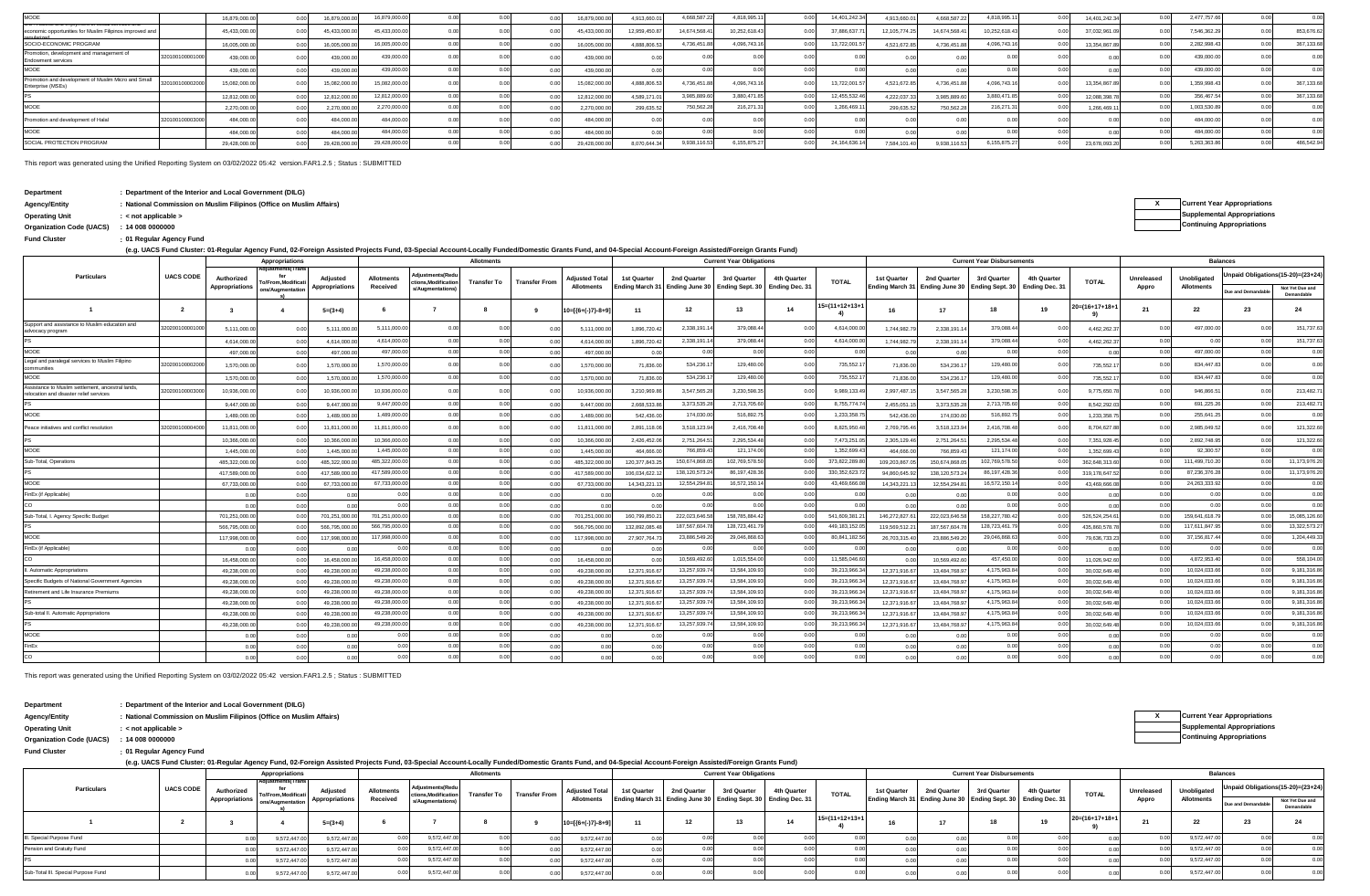| <b>AOOE</b>                                                              |                 | 16,879,000.0 | 16,879,000.6 | 16,879,000.0  |  | 16,879,000.0 | 4.913.660.  | 4.668.587.  | 4.818.995.    | 14.401.242.3  | 4.913.660.    | 4.668.587.  | 4.818.995.    | 14,401,242.3 | 2,477,757.66 | 0.00       |
|--------------------------------------------------------------------------|-----------------|--------------|--------------|---------------|--|--------------|-------------|-------------|---------------|---------------|---------------|-------------|---------------|--------------|--------------|------------|
| VALLEN AND ARREST FOR INTERNATIONAL AND AND APPEAR AND ARR               |                 |              |              |               |  |              |             |             |               |               |               |             |               |              |              |            |
| economic opportunities for Muslim Filipinos improved an                  |                 | 45.433.000.0 | 45.433.000   | 15 433 000 0  |  | 45.433.000   | 12.959.450. | 14.674.568. | 10.252.618.43 | 37,886,637    | 12.105.774.25 | 14.674.568. | 10,252,618.43 | 37.032.961.0 | 7,546,362.2  | 853,676.62 |
| SOCIO-ECONOMIC PROGRAM                                                   |                 | 16,005,000.0 | 16,005,000   | 16,005,000.0  |  | 16.005.000.  | 4.888.806.  | 4,736,451.  | 4,096,743.    | 13,722,001    | 4.521.672.8   | 4.736.451.  | 4,096,743.16  | 13.354.867.  | 2,282,998.43 | 367,133.68 |
| Promotion, development and management of<br>Endowment services           | 320100100001000 | 439,000      | 139.000      | 439,000 0     |  | 439,000.     |             |             |               |               |               |             |               |              | 439,000.0    | 0.00       |
| MOOE                                                                     |                 | 439,000      | 439.000.     | 439,000.0     |  | 439,000.0    |             |             |               |               |               |             |               |              | 439,000.0    | 0.00       |
| Promotion and development of Muslim Micro and Small<br>Enterprise (MSEs) | 32010010000200  | 15.082.000   | 15.082.000   | 15.082.000.0  |  | 15.082.000.  | 4.888.806.  | 4,736,451.  | 4.096.743.    | 13,722,001    | 4.521.672.8   | 4.736.451.  | 4.096.743.1   | 13.354.867.  | 1.359.998.4  | 367,133.68 |
|                                                                          |                 | 12,812,000.0 | 12.812.000.  | 12,812,000.00 |  | 12,812,000.0 | 4.589.171   | 3,985,889.  | 3.880.471.    | 12,455,532.   | 4.222.037.    | 3.985.889.  | 3,880,471.8   | 12.088.398.  | 356,467.5    | 367,133.68 |
| MOOE                                                                     |                 | 2,270,000.0  | 2.270,000.   | 2.270.000.0   |  | 2,270,000.00 | 299,635.5   | 750,562.2   | 216.271.      | 1.266.469     | 299,635.5     | 750.562.2   | 216,271.3     | 1.266.469.   | 1.003.530.89 | 0.00       |
| Promotion and development of Halal                                       | 32010010000300  | 484,000      | 484,000      | 484,000.0     |  | 484,000.     |             |             |               |               |               |             |               |              | 484,000.0    | 00         |
| MOOE                                                                     |                 | 484,000.     | 484,000      | 484,000.0     |  | 484,000.0    |             |             |               |               |               |             |               |              | 484,000.0    | 0.00       |
| SOCIAL PROTECTION PROGRAM                                                |                 | 29,428,000.0 | 29.428.000.  | 29,428,000.00 |  | 29,428,000.0 | 8,070,644.3 | 9.938.116   | 6.155.875.2   | 24, 164, 636. | 7.584.101.4   | 9.938.116.5 | 6,155,875.2   | 23,678,093.2 | 5,263,363.86 | 486,542.94 |

This report was generated using the Unified Reporting System on 03/02/2022 05:42 version.FAR1.2.5 ; Status : SUBMITTED

| Department | : Department of the Interior and Local Government (DILG) |
|------------|----------------------------------------------------------|
|------------|----------------------------------------------------------|

**Organization Code (UACS) Continuing Appropriations : 14 008 0000000**

**: Fund Cluster 01 Regular Agency Fund**

**(e.g. UACS Fund Cluster: 01-Regular Agency Fund, 02-Foreign Assisted Projects Fund, 03-Special Account-Locally Funded/Domestic Grants Fund, and 04-Special Account-Foreign Assisted/Foreign Grants Fund)**

|                                                                                              |                  |                | Appropriations    |                       |                   |                                      | Allotments         |                      |                       |                |                                                               | <b>Current Year Obligations</b> |             |                   |               |                                                                   | <b>Current Year Disbursements</b> |             |                 |            |                   | <b>Balances</b>    |                                   |
|----------------------------------------------------------------------------------------------|------------------|----------------|-------------------|-----------------------|-------------------|--------------------------------------|--------------------|----------------------|-----------------------|----------------|---------------------------------------------------------------|---------------------------------|-------------|-------------------|---------------|-------------------------------------------------------------------|-----------------------------------|-------------|-----------------|------------|-------------------|--------------------|-----------------------------------|
| <b>Particulars</b>                                                                           | <b>UACS CODE</b> | Authorized     | o/From.Modificati | Adjusted              | <b>Allotments</b> | diustments(Red<br>tions.Modification | <b>Transfer To</b> | <b>Transfer From</b> | <b>Adjusted Total</b> | 1st Quarter    | 2nd Quarter                                                   | 3rd Quarter                     | 4th Quarter | <b>TOTAL</b>      | 1st Quarter   | 2nd Quarter                                                       | 3rd Quarter                       | 4th Quarter | <b>TOTAL</b>    | Unreleased | Unobligated       |                    | Inpaid Obligations(15-20)=(23+24) |
|                                                                                              |                  | Appropriations | ons/Augmentation  | <b>Appropriations</b> | Received          | s/Augmentations)                     |                    |                      | <b>Allotments</b>     |                | inding March 31 Ending June 30 Ending Sept. 30 Ending Dec. 31 |                                 |             |                   |               | Ending March 31 Ending June 30   Ending Sept. 30   Ending Dec. 31 |                                   |             |                 | Appro      | <b>Allotments</b> | Due and Demandable | Not Yet Due and<br>Demandable     |
|                                                                                              | $\overline{2}$   | $\mathbf{3}$   | 4                 | $5=(3+4)$             |                   |                                      | -8                 |                      | $10=[(6+(-)7)-8+9]$   | 11             | 12                                                            | 13                              | 14          | $15=(11+12+13+1)$ | 16            | 17                                                                | 18                                | 19          | $20=(16+17+18+$ | - 21       | 22                | 23                 | 24                                |
| Support and assistance to Muslim education and<br>advocacy program                           | 3202001000010    | 5,111,000.0    |                   | 5,111,000.0           | 5.111.000.0       | 0.00                                 | 0.00               |                      | 5,111,000.00          | 1,896,720.42   | 2.338.191.                                                    | 379,088.4                       |             | 4.614.000.00      | 1.744.982.7   | 2.338.191.1                                                       | 379,088.44                        |             | 4,462,262.3     | 0.00       | 497,000.0         | 0.00               | 151,737.63                        |
|                                                                                              |                  | 4,614,000.0    |                   | 4,614,000.0           | 4.614.000.0       | 0.00                                 | 0.00               | 0.00                 | 4.614.000.00          | 1,896,720.42   | 2.338.191.1                                                   | 379,088.44                      | 0.00        | 4.614.000.00      | 1,744,982.7   | 2,338,191.1                                                       | 379,088.44                        |             | 4,462,262.3     | 0.00       | 0.00              | 0.00               | 151,737.63                        |
| MOOE                                                                                         |                  | 497,000.0      |                   | 497,000.0             | 497.000.0         | 0.00                                 | 0.00               | 0.00                 | 497,000.0             | 0.00           | 0.00                                                          | 0.00                            | 0.00        | 0.00              |               | 0.00                                                              | 0.00                              | 0.00        | 0.0             | 0.00       | 497,000.00        | 0.00               | 0.00                              |
| Legal and paralegal services to Muslim Filipino<br>communities                               | 32020010000200   | 1,570,000.0    |                   | 1,570,000.            | 1,570,000.0       | 0.0                                  | 0.00               | 0 <sub>0</sub>       | 1,570,000.0           | 71,836.00      | 534,236.                                                      | 129,480.00                      |             | 735,552.1         | 71,836.0      | 534,236.1                                                         | 129,480.00                        |             | 735,552.1       | 0.00       | 834,447.83        | 0.00               | 0.00                              |
| MOOE                                                                                         |                  | 1,570,000.0    |                   | 1,570,000.0           | 1,570,000.00      | 0.00                                 | 0.00               | 0.00                 | 1,570,000.00          | 71,836.00      | 534,236.1                                                     | 129,480.00                      | 0.00        | 735,552.17        | 71,836.0      | 534,236.1                                                         | 129,480.00                        | 0.00        | 735,552.1       | 0.00       | 834,447.83        | 0.00               | 0.00                              |
| Assistance to Muslim settlement, ancestral lands,<br>relocation and disaster relief services | 2020010000300    | 10,936,000.0   |                   | 10,936,000.0          | 10.936.000.0      | 0 <sup>o</sup>                       | 0.00               | 0.00                 | 10,936,000.00         | 3,210,969.86   | 3.547.565.2                                                   | 3.230.598.35                    |             | 9.989.133.49      | 2.997.487.1   | 3.547.565.2                                                       | 3.230.598.35                      |             | 9,775,650.7     | 0.00       | 946,866.51        | 0.00               | 213.482.71                        |
|                                                                                              |                  | 9,447,000.0    |                   | 9.447.000.0           | 9.447.000.00      | 0.00                                 | 0.00               | 0.00                 | 9.447.000.00          | 2.668.533.86   | 3.373.535.2                                                   | 2,713,705.60                    |             | 8,755,774.7       | 2,455,051.    | 3,373,535.2                                                       | 2,713,705.60                      |             | 8,542,292.0     | 0.00       | 691,225.26        | 0.00               | 213,482.71                        |
| MOOE                                                                                         |                  | 1.489.000.0    |                   | 1.489.000.0           | 1,489,000.00      | 0.00                                 | 0.00               | 0.00                 | 1.489.000.00          | 542.436.00     | 174,030.00                                                    | 516,892.75                      | 0.00        | 1,233,358.7       | 542,436.0     | 174,030.0                                                         | 516,892.75                        |             | 1.233.358.7     | 0.00       | 255,641.25        | 0.00               | 0.00                              |
| Peace initiatives and conflict resolution                                                    | 32020010000400   | 11,811,000.0   |                   | 11,811,000.0          | 11.811.000.0      | 0.00                                 | 0.00               |                      | 11,811,000.00         | 2,891,118.06   | 3,518,123.94                                                  | 2,416,708.48                    |             | 8,825,950.48      | 2,769,795.4   | 3.518.123.9                                                       | 2,416,708.48                      |             | 8,704,627.8     | 0.00       | 2.985.049.52      | 0.00               | 121,322.60                        |
|                                                                                              |                  | 10.366.000.    |                   | 10.366.000.           | 10.366.000.0      | 0.00                                 | 0.00               | 0.00                 | 10.366.000.0          | 2,426,452.06   | 2.751.264.5                                                   | 2.295.534.48                    | 0.00        | 7,473,251.0       | 2,305,129.4   | 2,751,264.                                                        | 2.295.534.48                      |             | 7.351.928.4     | 0.00       | 2.892.748.95      | 0.00               | 121.322.60                        |
| <b>MOOE</b>                                                                                  |                  | 1.445.000.0    |                   | 1.445.000.            | 1.445.000.0       | 0.00                                 | 0.00               | 0.00                 | 1.445.000.0           | 464,666.00     | 766,859.4                                                     | 121,174.00                      | 0.00        | 1,352,699.43      | 464,666.0     | 766,859.4                                                         | 121,174.00                        |             | 1.352.699.4     | 0.00       | 92,300.57         | 0.00               | 0.00                              |
| Sub-Total, Operations                                                                        |                  | 485,322,000.   |                   | 485,322,000.          | 485,322,000.0     | 0.00                                 | 0.00               | 0.00                 | 485,322,000.00        | 120,377,843.25 | 150,674,868.0                                                 | 102,769,578.50                  |             | 373,822,289.80    | 109,203,867.  | 150.674.868.0                                                     | 102,769,578.50                    |             | 362,648,313.6   | 0.OC       | 111,499,710.20    | 0.00               | 11,173,976.20                     |
|                                                                                              |                  | 417.589.000.   |                   | 417.589.000.          | 417,589,000.0     | 0.00                                 | 0.00               | 0.00                 | 417.589.000.0         | 106.034.622.   | 138.120.573.                                                  | 86,197,428.36                   |             | 330.352.623.7     | 94.860.645.9  | 138.120.573.2                                                     | 86,197,428.36                     |             | 319.178.647.    | 0.00       | 87,236,376.28     | 0.00               | 11,173,976.20                     |
| <b>MOOE</b>                                                                                  |                  | 67,733,000.0   |                   | 67,733,000.0          | 67,733,000.0      | 0.00                                 | 0.00               | 0.00                 | 67,733,000.00         | 14,343,221.    | 12,554,294.8                                                  | 16,572,150.14                   |             | 43,469,666.0      | 14,343,221.   | 12,554,294.8                                                      | 16,572,150.14                     |             | 43,469,666.0    | 0.OC       | 24,263,333.92     | 0.00               | 0.00                              |
| FinEx (if Applicable)                                                                        |                  |                |                   | 0.00                  | 0 <sup>o</sup>    | 0.00                                 | 0.00               | 0.00                 | 0.00                  | 0.00           | 0 <sub>0</sub>                                                | 0.00                            | 0.00        | 0.00              |               |                                                                   | 0.00                              | 0.00        | 0.00            | 0.00       | 0.00              | 0.00               | 0.00                              |
|                                                                                              |                  | 0.00           |                   | 0.00                  |                   | 0.00                                 | 0.00               | 0.00                 | 0.00                  | 0.00           | 0.00                                                          | 0.00                            | 0.00        | 0.00              |               |                                                                   | 0.00                              | 0.00        |                 | 0.00       | 0.00              | 0.00               | 0.00                              |
| Sub-Total, I. Agency Specific Budget                                                         |                  | 701,251,000.00 |                   | 701,251,000.00        | 701,251,000.0     | 0.00                                 | 0.00               | 0.01                 | 701,251,000.00        | 160,799,850.2  | 222,023,646.5                                                 | 158.785.884.42                  |             | 541.609.381.2     | 146,272,827.6 | 222,023,646.5                                                     | 158,227,780.42                    |             | 526,524,254.6   | 00         | 159,641,618.7     | 0.00               | 15.085.126.60                     |
|                                                                                              |                  | 566,795,000.0  |                   | 566,795,000.          | 566,795,000.0     | 0.00                                 | 0.00               |                      | 566,795,000.0         | 132.892.085.4  | 187,567,604.                                                  | 128,723,461.7                   |             | 449, 183, 152.0   | 119,569,512.2 | 187.567.604.7                                                     | 128,723,461.7                     |             | 435,860,578.    | 00         | 117,611,847.9     | 0.00               | 13,322,573.27                     |
| MOOE                                                                                         |                  | 117,998,000.00 |                   | 117,998,000.0         | 117,998,000.0     | 0.00                                 | 0.00               | 0.0                  | 117,998,000.00        | 27,907,764.73  | 23,886,549.2                                                  | 29,046,868.63                   |             | 80,841,182.5      | 26,703,315.4  | 23,886,549.2                                                      | 29,046,868.63                     |             | 79,636,733.2    | 0.00       | 37, 156, 817.44   | 0.00               | 1,204,449.33                      |
| FinEx (if Applicable)                                                                        |                  | 0.00           |                   |                       |                   |                                      | 0.00               | 0.01                 | 0.01                  | 0.00           | 00                                                            | 0.00                            | 0.00        |                   |               |                                                                   |                                   |             |                 | 00         | 0 <sub>0</sub>    | 0.00               | 0.00                              |
|                                                                                              |                  | 16,458,000.00  |                   | 16,458,000.0          | 16,458,000.0      |                                      | 0.00               | 0.00                 | 16,458,000.00         | 0.00           | 10.569.492.60                                                 | 1,015,554.00                    |             | 11.585.046.60     |               | 10.569.492.6                                                      | 457,450.00                        |             | 11,026,942.6    | 00         | 4,872,953.40      | 0.00               | 558,104.00                        |
| II. Automatic Appropriations                                                                 |                  | 49,238,000.0   |                   | 49,238,000.0          | 49,238,000.0      | 0.00                                 | 0.00               | 0.00                 | 49,238,000.00         | 12,371,916.67  | 13,257,939.74                                                 | 13,584,109.93                   |             | 39,213,966.34     | 12,371,916.6  | 13,484,768.9                                                      | 4,175,963.84                      | 0.00        | 30,032,649.4    | 0.00       | 10,024,033.66     | 0.00               | 9,181,316.86                      |
| Specific Budgets of National Government Agencies                                             |                  | 49,238,000.00  |                   | 49,238,000.0          | 49,238,000.00     | 0.00                                 | 0.00               | 0.00                 | 49.238.000.00         | 12.371.916.67  | 13,257,939.7                                                  | 13,584,109.93                   |             | 39,213,966.3      | 12.371.916.6  | 13,484,768.9                                                      | 4,175,963.84                      | 0.00        | 30.032.649.4    | 0.00       | 10,024,033.66     | 0.00               | 9,181,316.86                      |
| Retirement and Life Insurance Premiums                                                       |                  | 49,238,000.0   |                   | 49,238,000.0          | 49,238,000.0      | 0.00                                 | 0.00               | 0.00                 | 49,238,000.00         | 12,371,916.67  | 13,257,939.7                                                  | 13,584,109.93                   |             | 39,213,966.3      | 12,371,916.6  | 13,484,768.9                                                      | 4,175,963.84                      | 0.00        | 30,032,649.4    | 0.00       | 10,024,033.66     | 0.00               | 9,181,316.86                      |
|                                                                                              |                  | 49,238,000.0   |                   | 49,238,000.0          | 49,238,000.00     | 0.00                                 | 0.00               | 0.00                 | 49,238,000.00         | 12,371,916.67  | 13,257,939.74                                                 | 13,584,109.93                   |             | 39,213,966.3      | 12,371,916.6  | 13,484,768.9                                                      | 4,175,963.84                      | 0.00        | 30,032,649.4    | 0.00       | 10,024,033.66     | 0.00               | 9,181,316.86                      |
| Sub-total II. Automatic Appropriations                                                       |                  | 49.238.000.0   |                   | 49.238.000.           | 49,238,000.00     | 0.00                                 | 0.00               | 0.00                 | 49,238,000.0          | 12.371.916.6   | 13,257,939.7                                                  | 13,584,109.93                   |             | 39,213,966.3      | 12.371.916.6  | 13,484,768.9                                                      | 4,175,963.84                      | 0.00        | 30.032.649.4    | 0.00       | 10,024,033.66     | 0.00               | 9,181,316.86                      |
|                                                                                              |                  | 49,238,000.0   |                   | 49.238.000.0          | 49,238,000.00     | 0.00                                 | 0.00               | 0.00                 | 49,238,000.00         | 12,371,916.67  | 13,257,939.7                                                  | 13,584,109.93                   |             | 39,213,966.3      | 12.371.916.6  | 13,484,768.9                                                      | 4,175,963.84                      | 0.00        | 30.032.649.4    | 0.00       | 10,024,033.66     | 0.00               | 9,181,316.86                      |
| MOOE                                                                                         |                  |                |                   |                       | 0.00              | 0 <sup>0</sup>                       | 0.00               | 0.00                 | 0.00                  | 0.00           | 0 <sup>o</sup>                                                | 0.00                            | 0.00        | 0.00              |               |                                                                   | 0.00                              | 0.00        |                 | 0.00       | 0.00              | 0.00               | 0.00                              |
| FinEx                                                                                        |                  |                |                   | 0.00                  | 0.00              | 00                                   | 0.00               | 0.01                 | 0.00                  | 0.00           | 00                                                            | 0.00                            | 0.00        | 0.00              |               |                                                                   | 0.00                              | 0.00        |                 | 0.00       | 0.00              | 0.00               | 0.00                              |
| co                                                                                           |                  |                |                   |                       | 0.00              | 0.00                                 | 0.00               | 0.00                 | 0.00                  | 0.00           | 0.00                                                          | 0.00                            | 0.00        | 0.00              |               |                                                                   | 0.00                              | 0.00        |                 | 0.00       | 0.00              | 0.00               | 0 <sup>0<sup>c</sup></sup>        |

This report was generated using the Unified Reporting System on 03/02/2022 05:42 version.FAR1.2.5 ; Status : SUBMITTED

| Department               | : Department of the Interior and Local Government (DILG)<br>: National Commission on Muslim Filipinos (Office on Muslim Affairs)                                                                         |                          |                                 |                                                 |                       |                   |                                         |                    |               |                       |                                                               |             |             |             |              |                                                               |             |                 |                                  |              |            |             |                                    |                               |
|--------------------------|----------------------------------------------------------------------------------------------------------------------------------------------------------------------------------------------------------|--------------------------|---------------------------------|-------------------------------------------------|-----------------------|-------------------|-----------------------------------------|--------------------|---------------|-----------------------|---------------------------------------------------------------|-------------|-------------|-------------|--------------|---------------------------------------------------------------|-------------|-----------------|----------------------------------|--------------|------------|-------------|------------------------------------|-------------------------------|
| Agency/Entity            |                                                                                                                                                                                                          |                          |                                 |                                                 |                       |                   |                                         |                    |               |                       |                                                               |             |             |             |              |                                                               |             |                 |                                  |              |            |             | <b>Current Year Appropriations</b> |                               |
| <b>Operating Unit</b>    | $:$ < not applicable $>$                                                                                                                                                                                 |                          |                                 |                                                 |                       |                   |                                         |                    |               |                       |                                                               |             |             |             |              |                                                               |             |                 |                                  |              |            |             | <b>Supplemental Appropriations</b> |                               |
| Organization Code (UACS) | : 14008000000                                                                                                                                                                                            |                          |                                 |                                                 |                       |                   |                                         |                    |               |                       |                                                               |             |             |             |              |                                                               |             |                 | <b>Continuing Appropriations</b> |              |            |             |                                    |                               |
| <b>Fund Cluster</b>      |                                                                                                                                                                                                          | : 01 Regular Agency Fund |                                 |                                                 |                       |                   |                                         |                    |               |                       |                                                               |             |             |             |              |                                                               |             |                 |                                  |              |            |             |                                    |                               |
|                          | (e.g. UACS Fund Cluster: 01-Regular Agency Fund, 02-Foreign Assisted Projects Fund, 03-Special Account-Locally Funded/Domestic Grants Fund, and 04-Special Account-Foreign Assisted/Foreign Grants Fund) |                          |                                 |                                                 |                       |                   |                                         |                    |               |                       |                                                               |             |             |             |              |                                                               |             |                 |                                  |              |            |             |                                    |                               |
|                          | <b>Current Year Disbursements</b><br><b>Current Year Obligations</b><br>Appropriations<br><b>Allotments</b>                                                                                              |                          |                                 |                                                 |                       |                   |                                         |                    |               |                       |                                                               |             |             |             |              |                                                               |             | <b>Balances</b> |                                  |              |            |             |                                    |                               |
| <b>Particulars</b>       |                                                                                                                                                                                                          | <b>UACS CODE</b>         | Authorized                      | <b>Adjustments(Trans</b><br>To/From, Modificati | Adjusted              | <b>Allotments</b> | Adjustments(Redu<br>ctions.Modification | <b>Transfer To</b> | Transfer From | <b>Adjusted Total</b> | 1st Quarter                                                   | 2nd Quarter | 3rd Quarter | 4th Quarter | <b>TOTAL</b> | 1st Quarter                                                   | 2nd Quarter | 3rd Quarter     | 4th Quarter                      | <b>TOTAL</b> | Unreleased | Unobligated | Unpaid Obligations(15-20)=(23+24)  |                               |
|                          |                                                                                                                                                                                                          |                          | Appropriations ons/Augmentation |                                                 | <b>Appropriations</b> | Received          | s/Augmentations)                        |                    |               | Allotments            | Ending March 31 Ending June 30 Ending Sept. 30 Ending Dec. 31 |             |             |             |              | Ending March 31 Ending June 30 Ending Sept. 30 Ending Dec. 31 |             |                 |                                  |              | Appro      | Allotments  | Due and Demandabl                  | Not Yet Due and<br>Demandable |

**<sup>3</sup> <sup>4</sup> 5=(3+4) <sup>9</sup> 10=[{6+(-)7}-8+9] <sup>11</sup> <sup>16</sup> <sup>17</sup> 20=(16+17+18+1**

Pension and Gratuity Fund 0.00 9,572,447.00 0.00 0.00 0.00 0.00 0.00 0.00 0.00 0.00 9,572,447.00 0.00 0.00 III. Special Purpose Fund 0.00 9,572,447.00 0.00 0.00 0.00 0.00 0.00 0.00 0.00 0.00 9,572,447.00 0.00 0.00

Sub-Total III. Special Purpose Fund 0.00 9,572,447.00 0.00 0.00 0.00 0.00 0.00 0.00 0.00 0.00 9,572,447.00 0.00 0.00 PS 0.00 9.572.447.00 9.572.447.00 0.00 0.00 0.00 0.00 0.00 0.00 0.00 0.00 0.00 0.00 0.00 0.00 0.00 0.00 0.00 0.00 0.00 0.00 0.00 0.00 0.00 0.00 0.00 0.00

**4) <sup>1</sup> <sup>2</sup> <sup>6</sup> <sup>7</sup> <sup>8</sup> <sup>18</sup>**

0.00 9,572,447.00 0.00 9,572,447.00 0.00 0.000 0.00 9,572,447.00 0.000 0.000 0.000 0.000 0.000 0.000 0.000 0.000 0.000 0.000 0.000 0.00 0.00 9,572,447.00 9,572,447.00 0.00 9,572,447.00 0.00 0.000 0.000 0.000 0.000 0.000 0.000 0.000 0.000 0.000 0.000 0.000 0.000 0.000 0.000 0.000 0.000 0.000 0.000 0.000 0.000 0.000 0.000 0.000 0.000 0.000 0.000 0.000 0.000 0 0.00 9,572,447.00 9,572,447.00 0.00 9,572,447.00 0.00 0.000 0.000 0.000 0.000 0.000 0.000 0.000 0.000 0.000 0.000 0.000 0.000 0.000 0.000 0.000 0.000 0.000 0.000 0.000 0.000 0.000 0.000 0.000 0.000 0.000 0.000 0.000 0.000 0 0.00 9,572,447.00 9,572,447.00 0.00 9,572,447.00 0.00 0.000 0.000 0.000 0.000 0.000 0.000 0.000 0.000 0.000 0.000 0.000 0.000 0.000 0.000 0.000 0.000 0.000 0.000 0.000 0.000 0.000 0.000 0.000 0.000 0.000 0.000 0.000 0.000 0

| beparanent            | . Department of the interior and Eocal Covernment (DIEO)             |                                    |
|-----------------------|----------------------------------------------------------------------|------------------------------------|
| Agency/Entity         | : National Commission on Muslim Filipinos (Office on Muslim Affairs) | <b>Current Year Appropriations</b> |
| <b>Operating Unit</b> | < not applicable >                                                   | <b>Supplemental Appropriations</b> |
|                       |                                                                      | Continuing Appropriations          |

**9)**

**<sup>12</sup> <sup>13</sup> <sup>14</sup> <sup>19</sup> <sup>21</sup> <sup>22</sup> <sup>23</sup> <sup>24</sup> 15=(11+12+13+1**